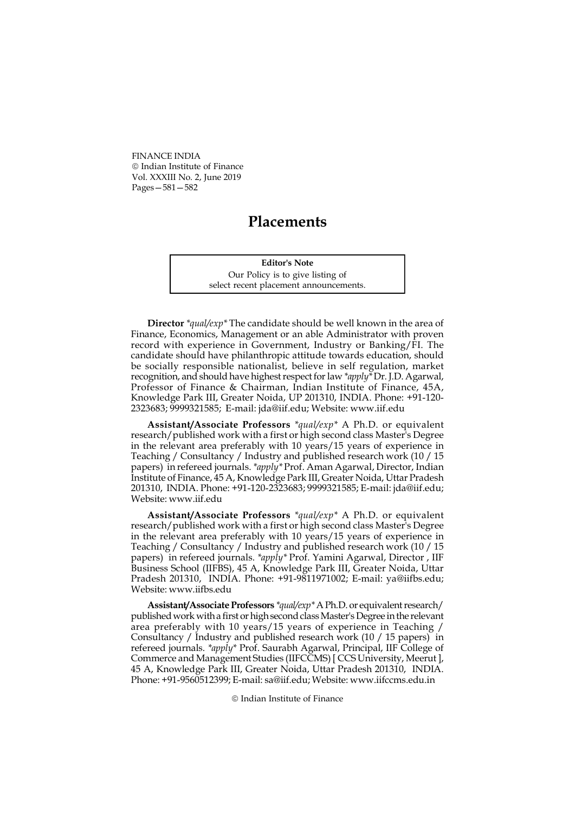FINANCE INDIA Indian Institute of Finance Vol. XXXIII No. 2, June 2019 Pages—581—582

## **Placements**

Editor's Note Our Policy is to give listing of select recent placement announcements.

Director \*qual/exp\* The candidate should be well known in the area of Finance, Economics, Management or an able Administrator with proven record with experience in Government, Industry or Banking/FI. The candidate should have philanthropic attitude towards education, should be socially responsible nationalist, believe in self regulation, market recognition, and should have highest respect for law \*apply\* Dr. J.D. Agarwal, Professor of Finance & Chairman, Indian Institute of Finance, 45A, Knowledge Park III, Greater Noida, UP 201310, INDIA. Phone: +91-120- 2323683; 9999321585; E-mail: jda@iif.edu; Website: www.iif.edu

Assistant/Associate Professors \*qual/exp\* A Ph.D. or equivalent research/published work with a first or high second class Master's Degree in the relevant area preferably with 10 years/15 years of experience in Teaching / Consultancy / Industry and published research work (10 / 15 papers) in refereed journals. \*apply\* Prof. Aman Agarwal, Director, Indian Institute of Finance, 45 A, Knowledge Park III, Greater Noida, Uttar Pradesh 201310, INDIA. Phone: +91-120-2323683; 9999321585; E-mail: jda@iif.edu; Website: www.iif.edu

Assistant/Associate Professors \*qual/exp\* A Ph.D. or equivalent research/published work with a first or high second class Master's Degree in the relevant area preferably with 10 years/15 years of experience in Teaching / Consultancy / Industry and published research work (10 / 15 papers) in refereed journals. \*apply\* Prof. Yamini Agarwal, Director , IIF Business School (IIFBS), 45 A, Knowledge Park III, Greater Noida, Uttar Pradesh 201310, INDIA. Phone: +91-9811971002; E-mail: ya@iifbs.edu; Website: www.iifbs.edu

Assistant/Associate Professors \*qual/exp\* A Ph.D. or equivalent research/ published work with a first or high second class Master's Degree in the relevant area preferably with 10 years/15 years of experience in Teaching / Consultancy / Industry and published research work (10 / 15 papers) in refereed journals. \*apply\* Prof. Saurabh Agarwal, Principal, IIF College of Commerce and Management Studies (IIFCCMS) [ CCS University, Meerut ], 45 A, Knowledge Park III, Greater Noida, Uttar Pradesh 201310, INDIA. Phone: +91-9560512399; E-mail: sa@iif.edu; Website: www.iifccms.edu.in

Indian Institute of Finance